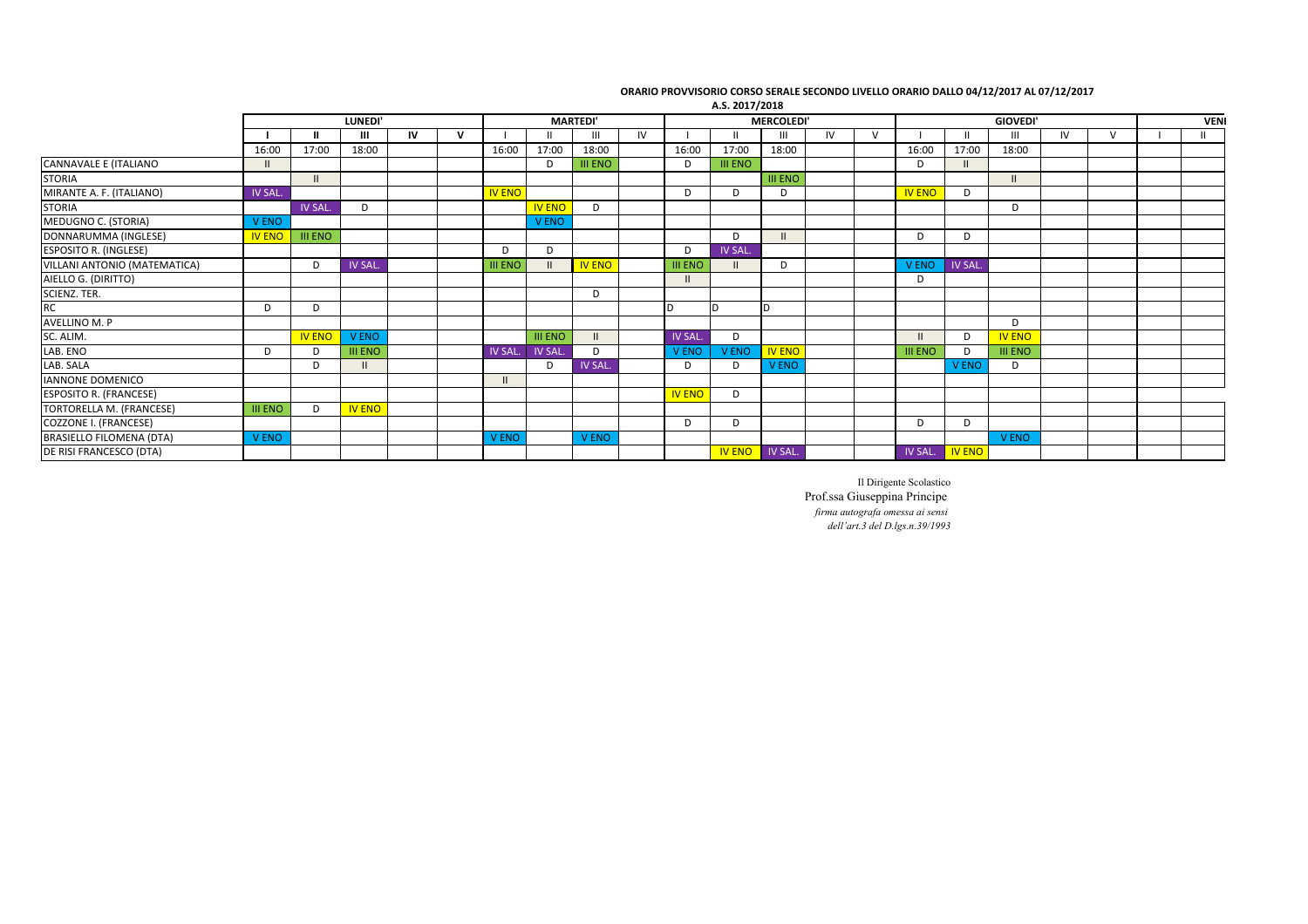| <b>LUNEDI</b>  |                |                |    | <b>MARTEDI'</b> |                |                |                | <b>MERCOLEDI</b> |                |                |                | <b>GIOVEDI'</b> |              |                |               |                | VENI      |   |  |               |
|----------------|----------------|----------------|----|-----------------|----------------|----------------|----------------|------------------|----------------|----------------|----------------|-----------------|--------------|----------------|---------------|----------------|-----------|---|--|---------------|
|                |                | Ш              | IV | $\mathbf{v}$    |                |                | $\mathbf{III}$ | IV               |                |                | Ш              | IV              | $\mathsf{V}$ |                |               | Ш              | <b>IV</b> | V |  | $\mathbf{II}$ |
| 16:00          | 17:00          | 18:00          |    |                 | 16:00          | 17:00          | 18:00          |                  | 16:00          | 17:00          | 18:00          |                 |              | 16:00          | 17:00         | 18:00          |           |   |  |               |
| $\mathbf{H}$   |                |                |    |                 |                | D              | <b>III ENO</b> |                  | D              | <b>III ENO</b> |                |                 |              | D              | $\mathbf{H}$  |                |           |   |  |               |
|                |                |                |    |                 |                |                |                |                  |                |                | <b>III ENO</b> |                 |              |                |               | $\mathbf{II}$  |           |   |  |               |
| IV SAL.        |                |                |    |                 | <b>IV ENO</b>  |                |                |                  | D              | D              | D              |                 |              | <b>IV ENO</b>  | D             |                |           |   |  |               |
|                | <b>IV SAL</b>  | D              |    |                 |                | <b>IV ENO</b>  | D              |                  |                |                |                |                 |              |                |               | D              |           |   |  |               |
| V ENO          |                |                |    |                 |                | V ENO          |                |                  |                |                |                |                 |              |                |               |                |           |   |  |               |
| <b>IV ENO</b>  | <b>III ENO</b> |                |    |                 |                |                |                |                  |                | D              |                |                 |              | D              | D             |                |           |   |  |               |
|                |                |                |    |                 | D              | D              |                |                  | D              | IV SAL.        |                |                 |              |                |               |                |           |   |  |               |
|                | D              | <b>IV SAL.</b> |    |                 | <b>III ENO</b> |                | <b>IV ENO</b>  |                  | <b>III ENO</b> |                | D              |                 |              | <b>V ENO</b>   | <b>IV SAL</b> |                |           |   |  |               |
|                |                |                |    |                 |                |                |                |                  |                |                |                |                 |              | D              |               |                |           |   |  |               |
|                |                |                |    |                 |                |                | D              |                  |                |                |                |                 |              |                |               |                |           |   |  |               |
| D              | D              |                |    |                 |                |                |                |                  |                |                | ID.            |                 |              |                |               |                |           |   |  |               |
|                |                |                |    |                 |                |                |                |                  |                |                |                |                 |              |                |               | D              |           |   |  |               |
|                | <b>IV ENO</b>  | <b>VENO</b>    |    |                 |                | <b>III ENO</b> |                |                  | IV SAL.        | D              |                |                 |              |                | D             | <b>IV ENO</b>  |           |   |  |               |
| D              | D              | <b>III ENO</b> |    |                 | IV SAL.        | IV SAL.        | D              |                  | V ENO          | V ENO          | <b>IV ENO</b>  |                 |              | <b>III ENO</b> | <sup>D</sup>  | <b>III ENO</b> |           |   |  |               |
|                | D              |                |    |                 |                | D              | <b>IV SAL</b>  |                  | D              | D              | <b>V ENO</b>   |                 |              |                | V ENO         | D              |           |   |  |               |
|                |                |                |    |                 |                |                |                |                  |                |                |                |                 |              |                |               |                |           |   |  |               |
|                |                |                |    |                 |                |                |                |                  | <b>IV ENO</b>  | D              |                |                 |              |                |               |                |           |   |  |               |
| <b>III ENO</b> | D              | <b>IV ENO</b>  |    |                 |                |                |                |                  |                |                |                |                 |              |                |               |                |           |   |  |               |
|                |                |                |    |                 |                |                |                |                  | D              | D              |                |                 |              | D              | D             |                |           |   |  |               |
| <b>VENO</b>    |                |                |    |                 | <b>V ENO</b>   |                | V ENO          |                  |                |                |                |                 |              |                |               | V ENO          |           |   |  |               |
|                |                |                |    |                 |                |                |                |                  |                | <b>IV ENO</b>  | <b>IV SAL</b>  |                 |              | IV SAL.        | <b>IV ENO</b> |                |           |   |  |               |
|                |                |                |    |                 |                |                |                |                  |                |                |                | A.S. 2017/2018  |              |                |               |                |           |   |  |               |

## ORARIO PROVVISORIO CORSO SERALE SECONDO LIVELLO ORARIO DALLO 04/12/2017 AL 07/12/2017

Il Dirigente Scolastico Prof.ssa Giuseppina Principe *firma autografa omessa ai sensi dell'art.3 del D.lgs.n.39/1993*